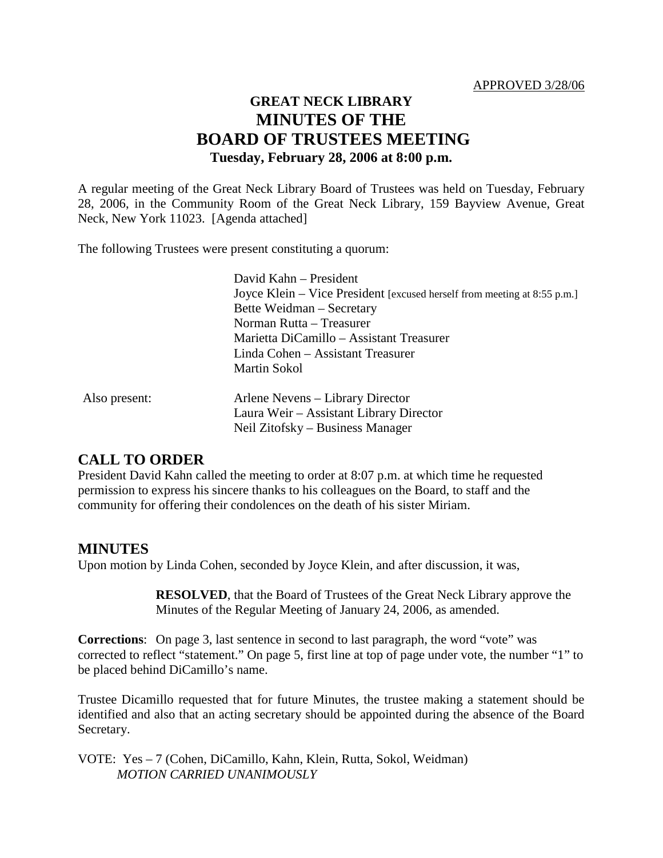#### APPROVED 3/28/06

# **GREAT NECK LIBRARY MINUTES OF THE BOARD OF TRUSTEES MEETING Tuesday, February 28, 2006 at 8:00 p.m.**

A regular meeting of the Great Neck Library Board of Trustees was held on Tuesday, February 28, 2006, in the Community Room of the Great Neck Library, 159 Bayview Avenue, Great Neck, New York 11023. [Agenda attached]

The following Trustees were present constituting a quorum:

|               | David Kahn - President                                                   |
|---------------|--------------------------------------------------------------------------|
|               | Joyce Klein – Vice President [excused herself from meeting at 8:55 p.m.] |
|               | Bette Weidman – Secretary                                                |
|               | Norman Rutta – Treasurer                                                 |
|               | Marietta DiCamillo – Assistant Treasurer                                 |
|               | Linda Cohen – Assistant Treasurer                                        |
|               | Martin Sokol                                                             |
| Also present: | Arlene Nevens – Library Director                                         |
|               | Laura Weir – Assistant Library Director                                  |
|               | Neil Zitofsky – Business Manager                                         |
|               |                                                                          |

### **CALL TO ORDER**

President David Kahn called the meeting to order at 8:07 p.m. at which time he requested permission to express his sincere thanks to his colleagues on the Board, to staff and the community for offering their condolences on the death of his sister Miriam.

### **MINUTES**

Upon motion by Linda Cohen, seconded by Joyce Klein, and after discussion, it was,

**RESOLVED**, that the Board of Trustees of the Great Neck Library approve the Minutes of the Regular Meeting of January 24, 2006, as amended.

**Corrections**: On page 3, last sentence in second to last paragraph, the word "vote" was corrected to reflect "statement." On page 5, first line at top of page under vote, the number "1" to be placed behind DiCamillo's name.

Trustee Dicamillo requested that for future Minutes, the trustee making a statement should be identified and also that an acting secretary should be appointed during the absence of the Board Secretary.

VOTE:Yes – 7 (Cohen, DiCamillo, Kahn, Klein, Rutta, Sokol, Weidman) *MOTION CARRIED UNANIMOUSLY*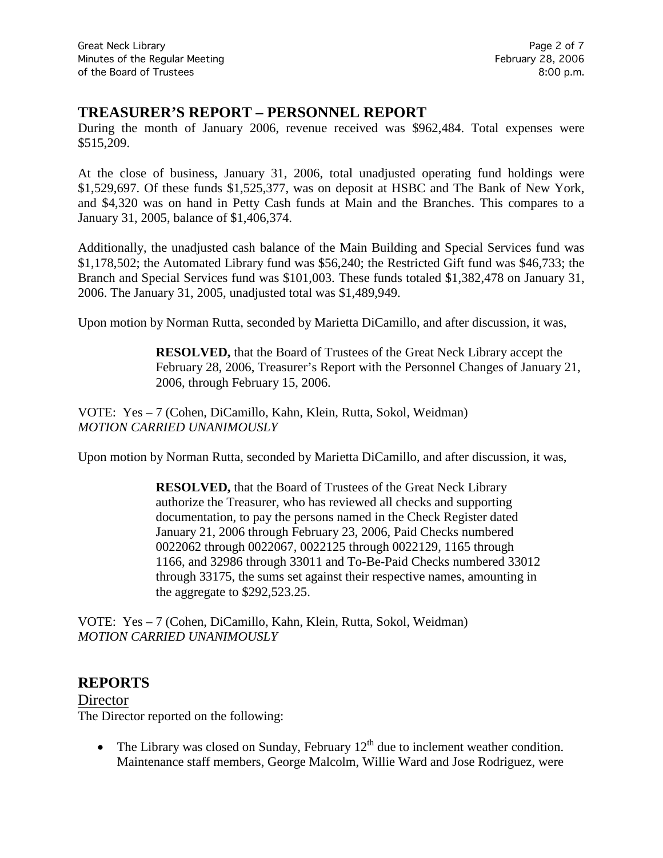# **TREASURER'S REPORT – PERSONNEL REPORT**

During the month of January 2006, revenue received was \$962,484. Total expenses were \$515,209.

At the close of business, January 31, 2006, total unadjusted operating fund holdings were \$1,529,697. Of these funds \$1,525,377, was on deposit at HSBC and The Bank of New York, and \$4,320 was on hand in Petty Cash funds at Main and the Branches. This compares to a January 31, 2005, balance of \$1,406,374.

Additionally, the unadjusted cash balance of the Main Building and Special Services fund was \$1,178,502; the Automated Library fund was \$56,240; the Restricted Gift fund was \$46,733; the Branch and Special Services fund was \$101,003. These funds totaled \$1,382,478 on January 31, 2006. The January 31, 2005, unadjusted total was \$1,489,949.

Upon motion by Norman Rutta, seconded by Marietta DiCamillo, and after discussion, it was,

**RESOLVED,** that the Board of Trustees of the Great Neck Library accept the February 28, 2006, Treasurer's Report with the Personnel Changes of January 21, 2006, through February 15, 2006.

VOTE:Yes – 7 (Cohen, DiCamillo, Kahn, Klein, Rutta, Sokol, Weidman) *MOTION CARRIED UNANIMOUSLY*

Upon motion by Norman Rutta, seconded by Marietta DiCamillo, and after discussion, it was,

**RESOLVED,** that the Board of Trustees of the Great Neck Library authorize the Treasurer, who has reviewed all checks and supporting documentation, to pay the persons named in the Check Register dated January 21, 2006 through February 23, 2006, Paid Checks numbered 0022062 through 0022067, 0022125 through 0022129, 1165 through 1166, and 32986 through 33011 and To-Be-Paid Checks numbered 33012 through 33175, the sums set against their respective names, amounting in the aggregate to \$292,523.25.

VOTE:Yes – 7 (Cohen, DiCamillo, Kahn, Klein, Rutta, Sokol, Weidman) *MOTION CARRIED UNANIMOUSLY*

# **REPORTS**

**Director** The Director reported on the following:

• The Library was closed on Sunday, February  $12<sup>th</sup>$  due to inclement weather condition. Maintenance staff members, George Malcolm, Willie Ward and Jose Rodriguez, were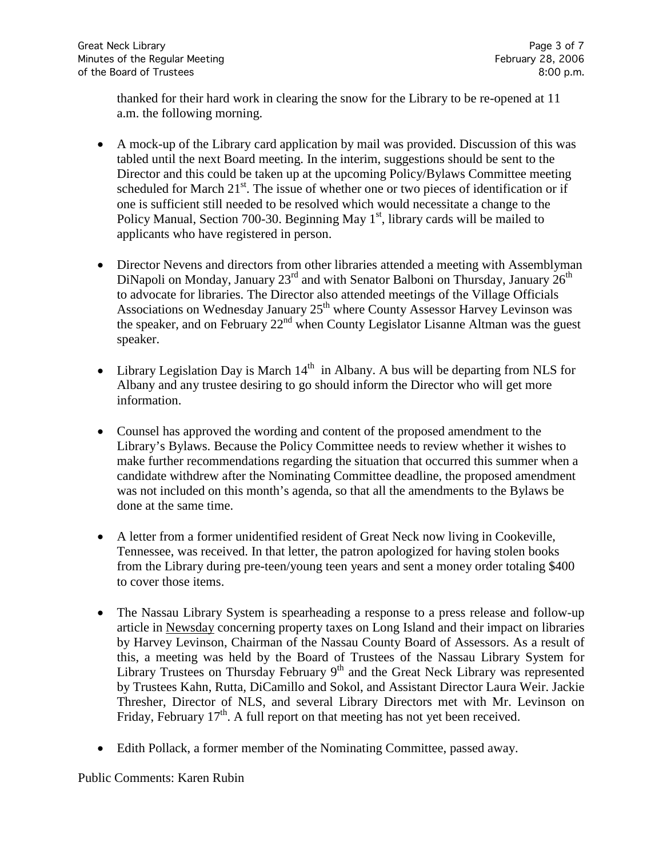thanked for their hard work in clearing the snow for the Library to be re-opened at 11 a.m. the following morning.

- A mock-up of the Library card application by mail was provided. Discussion of this was tabled until the next Board meeting. In the interim, suggestions should be sent to the Director and this could be taken up at the upcoming Policy/Bylaws Committee meeting scheduled for March  $21^{st}$ . The issue of whether one or two pieces of identification or if one is sufficient still needed to be resolved which would necessitate a change to the Policy Manual, Section 700-30. Beginning May  $1<sup>st</sup>$ , library cards will be mailed to applicants who have registered in person.
- Director Nevens and directors from other libraries attended a meeting with Assemblyman DiNapoli on Monday, January  $23<sup>rd</sup>$  and with Senator Balboni on Thursday, January  $26<sup>th</sup>$ to advocate for libraries. The Director also attended meetings of the Village Officials Associations on Wednesday January 25<sup>th</sup> where County Assessor Harvey Levinson was the speaker, and on February 22<sup>nd</sup> when County Legislator Lisanne Altman was the guest speaker.
- Library Legislation Day is March  $14<sup>th</sup>$  in Albany. A bus will be departing from NLS for Albany and any trustee desiring to go should inform the Director who will get more information.
- Counsel has approved the wording and content of the proposed amendment to the Library's Bylaws. Because the Policy Committee needs to review whether it wishes to make further recommendations regarding the situation that occurred this summer when a candidate withdrew after the Nominating Committee deadline, the proposed amendment was not included on this month's agenda, so that all the amendments to the Bylaws be done at the same time.
- A letter from a former unidentified resident of Great Neck now living in Cookeville, Tennessee, was received. In that letter, the patron apologized for having stolen books from the Library during pre-teen/young teen years and sent a money order totaling \$400 to cover those items.
- The Nassau Library System is spearheading a response to a press release and follow-up article in Newsday concerning property taxes on Long Island and their impact on libraries by Harvey Levinson, Chairman of the Nassau County Board of Assessors. As a result of this, a meeting was held by the Board of Trustees of the Nassau Library System for Library Trustees on Thursday February  $9<sup>th</sup>$  and the Great Neck Library was represented by Trustees Kahn, Rutta, DiCamillo and Sokol, and Assistant Director Laura Weir. Jackie Thresher, Director of NLS, and several Library Directors met with Mr. Levinson on Friday, February  $17<sup>th</sup>$ . A full report on that meeting has not yet been received.
- Edith Pollack, a former member of the Nominating Committee, passed away.

Public Comments: Karen Rubin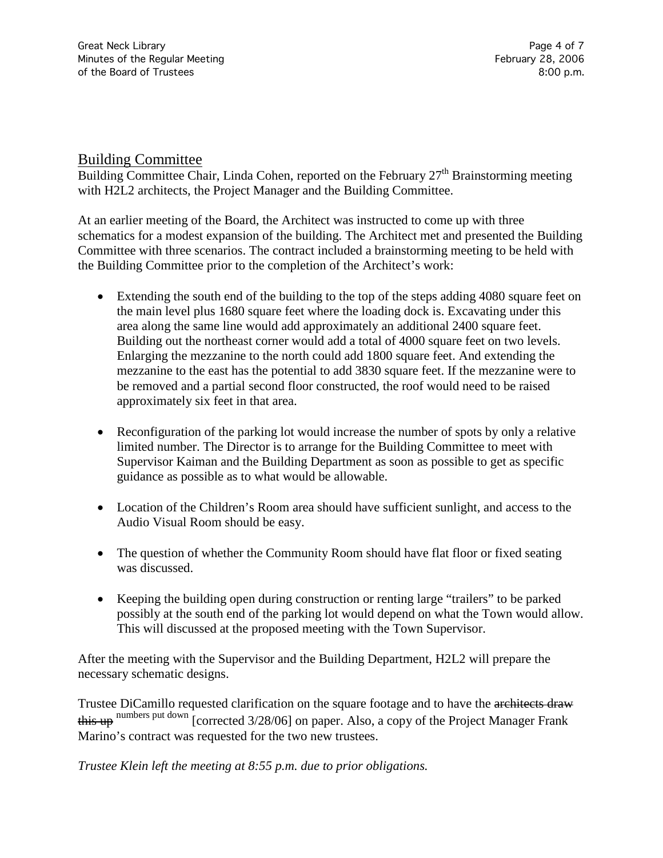# Building Committee

Building Committee Chair, Linda Cohen, reported on the February  $27<sup>th</sup>$  Brainstorming meeting with H2L2 architects, the Project Manager and the Building Committee.

At an earlier meeting of the Board, the Architect was instructed to come up with three schematics for a modest expansion of the building. The Architect met and presented the Building Committee with three scenarios. The contract included a brainstorming meeting to be held with the Building Committee prior to the completion of the Architect's work:

- Extending the south end of the building to the top of the steps adding 4080 square feet on the main level plus 1680 square feet where the loading dock is. Excavating under this area along the same line would add approximately an additional 2400 square feet. Building out the northeast corner would add a total of 4000 square feet on two levels. Enlarging the mezzanine to the north could add 1800 square feet. And extending the mezzanine to the east has the potential to add 3830 square feet. If the mezzanine were to be removed and a partial second floor constructed, the roof would need to be raised approximately six feet in that area.
- Reconfiguration of the parking lot would increase the number of spots by only a relative limited number. The Director is to arrange for the Building Committee to meet with Supervisor Kaiman and the Building Department as soon as possible to get as specific guidance as possible as to what would be allowable.
- Location of the Children's Room area should have sufficient sunlight, and access to the Audio Visual Room should be easy.
- The question of whether the Community Room should have flat floor or fixed seating was discussed.
- Keeping the building open during construction or renting large "trailers" to be parked possibly at the south end of the parking lot would depend on what the Town would allow. This will discussed at the proposed meeting with the Town Supervisor.

After the meeting with the Supervisor and the Building Department, H2L2 will prepare the necessary schematic designs.

Trustee DiCamillo requested clarification on the square footage and to have the architects draw this up numbers put down [corrected 3/28/06] on paper. Also, a copy of the Project Manager Frank Marino's contract was requested for the two new trustees.

*Trustee Klein left the meeting at 8:55 p.m. due to prior obligations.*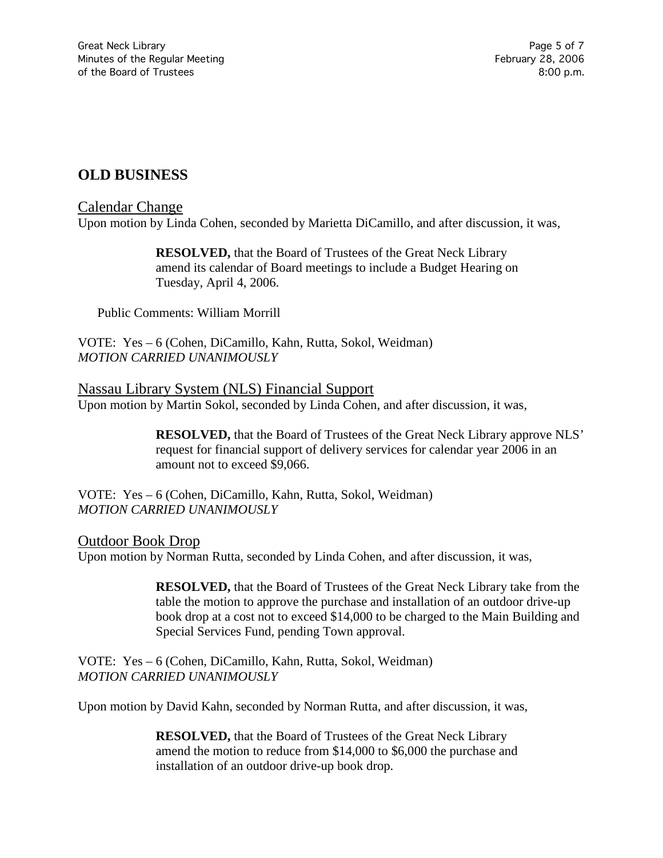# **OLD BUSINESS**

#### Calendar Change

Upon motion by Linda Cohen, seconded by Marietta DiCamillo, and after discussion, it was,

**RESOLVED,** that the Board of Trustees of the Great Neck Library amend its calendar of Board meetings to include a Budget Hearing on Tuesday, April 4, 2006.

Public Comments: William Morrill

VOTE:Yes – 6 (Cohen, DiCamillo, Kahn, Rutta, Sokol, Weidman) *MOTION CARRIED UNANIMOUSLY*

Nassau Library System (NLS) Financial Support Upon motion by Martin Sokol, seconded by Linda Cohen, and after discussion, it was,

> **RESOLVED,** that the Board of Trustees of the Great Neck Library approve NLS' request for financial support of delivery services for calendar year 2006 in an amount not to exceed \$9,066.

VOTE:Yes – 6 (Cohen, DiCamillo, Kahn, Rutta, Sokol, Weidman) *MOTION CARRIED UNANIMOUSLY*

### Outdoor Book Drop

Upon motion by Norman Rutta, seconded by Linda Cohen, and after discussion, it was,

**RESOLVED,** that the Board of Trustees of the Great Neck Library take from the table the motion to approve the purchase and installation of an outdoor drive-up book drop at a cost not to exceed \$14,000 to be charged to the Main Building and Special Services Fund, pending Town approval.

VOTE:Yes – 6 (Cohen, DiCamillo, Kahn, Rutta, Sokol, Weidman) *MOTION CARRIED UNANIMOUSLY*

Upon motion by David Kahn, seconded by Norman Rutta, and after discussion, it was,

**RESOLVED,** that the Board of Trustees of the Great Neck Library amend the motion to reduce from \$14,000 to \$6,000 the purchase and installation of an outdoor drive-up book drop.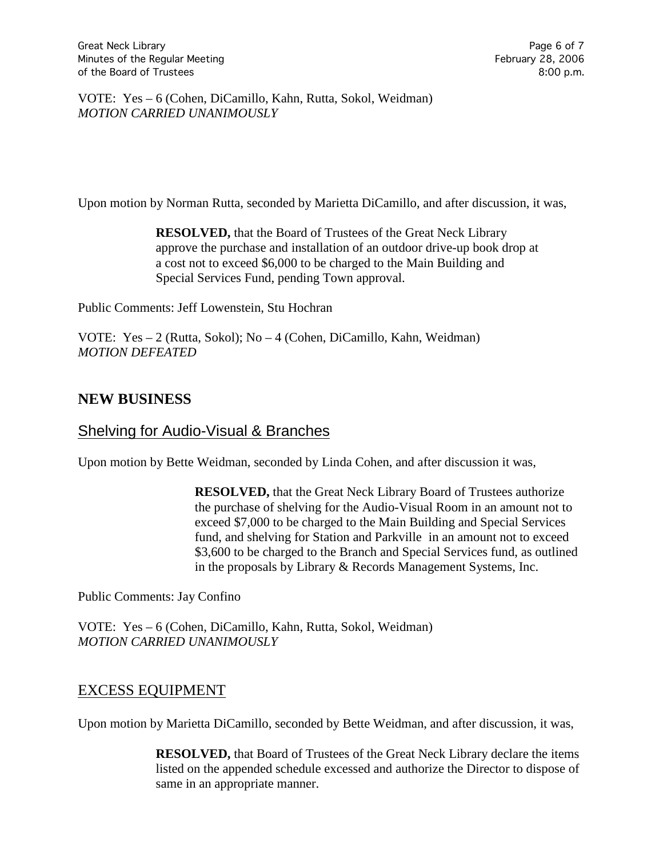VOTE:Yes – 6 (Cohen, DiCamillo, Kahn, Rutta, Sokol, Weidman) *MOTION CARRIED UNANIMOUSLY*

Upon motion by Norman Rutta, seconded by Marietta DiCamillo, and after discussion, it was,

**RESOLVED,** that the Board of Trustees of the Great Neck Library approve the purchase and installation of an outdoor drive-up book drop at a cost not to exceed \$6,000 to be charged to the Main Building and Special Services Fund, pending Town approval.

Public Comments: Jeff Lowenstein, Stu Hochran

VOTE:Yes – 2 (Rutta, Sokol); No – 4 (Cohen, DiCamillo, Kahn, Weidman) *MOTION DEFEATED*

# **NEW BUSINESS**

# Shelving for Audio-Visual & Branches

Upon motion by Bette Weidman, seconded by Linda Cohen, and after discussion it was,

**RESOLVED,** that the Great Neck Library Board of Trustees authorize the purchase of shelving for the Audio-Visual Room in an amount not to exceed \$7,000 to be charged to the Main Building and Special Services fund, and shelving for Station and Parkville in an amount not to exceed \$3,600 to be charged to the Branch and Special Services fund, as outlined in the proposals by Library & Records Management Systems, Inc.

Public Comments: Jay Confino

VOTE:Yes – 6 (Cohen, DiCamillo, Kahn, Rutta, Sokol, Weidman) *MOTION CARRIED UNANIMOUSLY*

### EXCESS EQUIPMENT

Upon motion by Marietta DiCamillo, seconded by Bette Weidman, and after discussion, it was,

**RESOLVED,** that Board of Trustees of the Great Neck Library declare the items listed on the appended schedule excessed and authorize the Director to dispose of same in an appropriate manner.